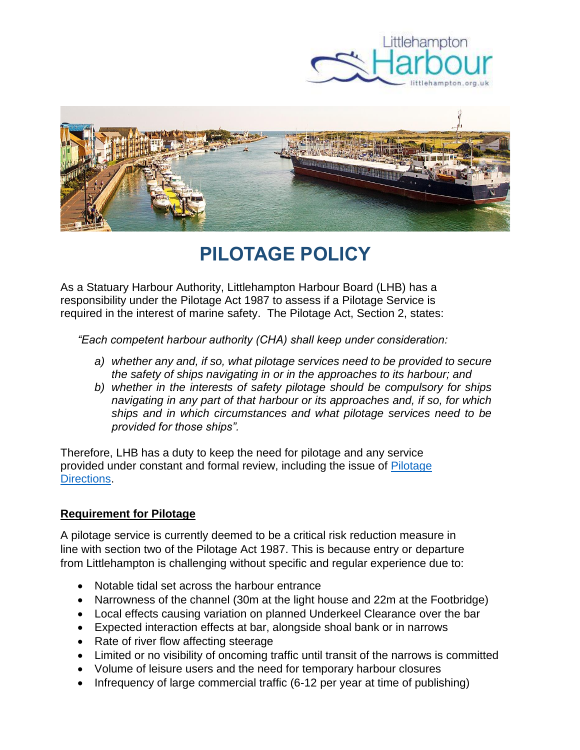



# **PILOTAGE POLICY**

As a Statuary Harbour Authority, Littlehampton Harbour Board (LHB) has a responsibility under the Pilotage Act 1987 to assess if a Pilotage Service is required in the interest of marine safety. The Pilotage Act, Section 2, states:

*"Each competent harbour authority (CHA) shall keep under consideration:*

- *a) whether any and, if so, what pilotage services need to be provided to secure the safety of ships navigating in or in the approaches to its harbour; and*
- *b) whether in the interests of safety pilotage should be compulsory for ships navigating in any part of that harbour or its approaches and, if so, for which ships and in which circumstances and what pilotage services need to be provided for those ships".*

Therefore, LHB has a duty to keep the need for pilotage and any service provided under constant and formal review, including the issue of [Pilotage](https://www.littlehampton.org.uk/wp-content/uploads/2021/11/PILOTAGE-DIRECTIONS-UPDATE-NOV-2021_Final.pdf)  [Directions.](https://www.littlehampton.org.uk/wp-content/uploads/2021/11/PILOTAGE-DIRECTIONS-UPDATE-NOV-2021_Final.pdf)

## **Requirement for Pilotage**

A pilotage service is currently deemed to be a critical risk reduction measure in line with section two of the Pilotage Act 1987. This is because entry or departure from Littlehampton is challenging without specific and regular experience due to:

- Notable tidal set across the harbour entrance
- Narrowness of the channel (30m at the light house and 22m at the Footbridge)
- Local effects causing variation on planned Underkeel Clearance over the bar
- Expected interaction effects at bar, alongside shoal bank or in narrows
- Rate of river flow affecting steerage
- Limited or no visibility of oncoming traffic until transit of the narrows is committed
- Volume of leisure users and the need for temporary harbour closures
- Infrequency of large commercial traffic (6-12 per year at time of publishing)